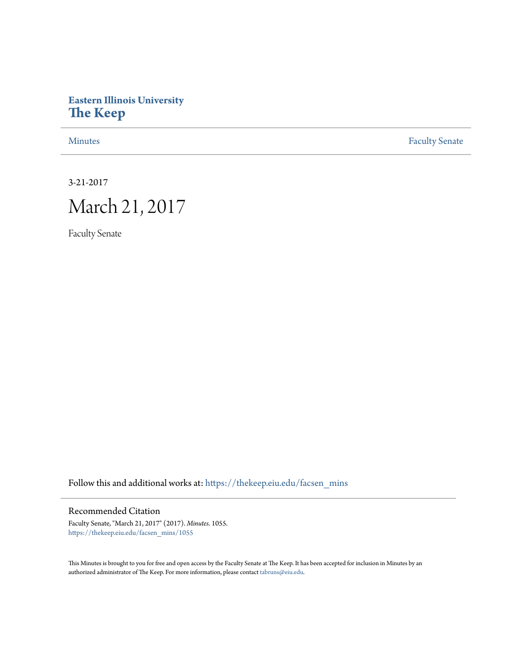# **Eastern Illinois University [The Keep](https://thekeep.eiu.edu?utm_source=thekeep.eiu.edu%2Ffacsen_mins%2F1055&utm_medium=PDF&utm_campaign=PDFCoverPages)**

[Minutes](https://thekeep.eiu.edu/facsen_mins?utm_source=thekeep.eiu.edu%2Ffacsen_mins%2F1055&utm_medium=PDF&utm_campaign=PDFCoverPages) **[Faculty Senate](https://thekeep.eiu.edu/fac_senate?utm_source=thekeep.eiu.edu%2Ffacsen_mins%2F1055&utm_medium=PDF&utm_campaign=PDFCoverPages)** 

3-21-2017

# March 21, 2017

Faculty Senate

Follow this and additional works at: [https://thekeep.eiu.edu/facsen\\_mins](https://thekeep.eiu.edu/facsen_mins?utm_source=thekeep.eiu.edu%2Ffacsen_mins%2F1055&utm_medium=PDF&utm_campaign=PDFCoverPages)

## Recommended Citation

Faculty Senate, "March 21, 2017" (2017). *Minutes*. 1055. [https://thekeep.eiu.edu/facsen\\_mins/1055](https://thekeep.eiu.edu/facsen_mins/1055?utm_source=thekeep.eiu.edu%2Ffacsen_mins%2F1055&utm_medium=PDF&utm_campaign=PDFCoverPages)

This Minutes is brought to you for free and open access by the Faculty Senate at The Keep. It has been accepted for inclusion in Minutes by an authorized administrator of The Keep. For more information, please contact [tabruns@eiu.edu](mailto:tabruns@eiu.edu).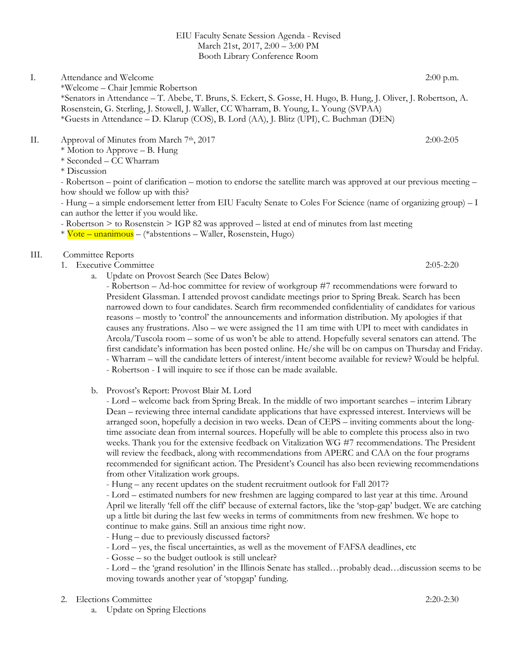#### EIU Faculty Senate Session Agenda - Revised March 21st, 2017, 2:00 – 3:00 PM Booth Library Conference Room

#### I. Attendance and Welcome 2:00 p.m. \*Welcome – Chair Jemmie Robertson \*Senators in Attendance – T. Abebe, T. Bruns, S. Eckert, S. Gosse, H. Hugo, B. Hung, J. Oliver, J. Robertson, A. Rosenstein, G. Sterling, J. Stowell, J. Waller, CC Wharram, B. Young, L. Young (SVPAA) \*Guests in Attendance – D. Klarup (COS), B. Lord (AA), J. Blitz (UPI), C. Buchman (DEN)

# II. Approval of Minutes from March 7th, 2017 2:00-2:05

\* Motion to Approve – B. Hung

\* Seconded – CC Wharram

\* Discussion

- Robertson – point of clarification – motion to endorse the satellite march was approved at our previous meeting – how should we follow up with this?

- Hung – a simple endorsement letter from EIU Faculty Senate to Coles For Science (name of organizing group) – I can author the letter if you would like.

- Robertson > to Rosenstein > IGP 82 was approved – listed at end of minutes from last meeting

\* Vote – unanimous – (\*abstentions – Waller, Rosenstein, Hugo)

# III. Committee Reports

- 1. Executive Committee 2:05-2:20
	- a. Update on Provost Search (See Dates Below)

- Robertson – Ad-hoc committee for review of workgroup #7 recommendations were forward to President Glassman. I attended provost candidate meetings prior to Spring Break. Search has been narrowed down to four candidates. Search firm recommended confidentiality of candidates for various reasons – mostly to 'control' the announcements and information distribution. My apologies if that causes any frustrations. Also – we were assigned the 11 am time with UPI to meet with candidates in Arcola/Tuscola room – some of us won't be able to attend. Hopefully several senators can attend. The first candidate's information has been posted online. He/she will be on campus on Thursday and Friday. - Wharram – will the candidate letters of interest/intent become available for review? Would be helpful. - Robertson - I will inquire to see if those can be made available.

b. Provost's Report: Provost Blair M. Lord

- Lord – welcome back from Spring Break. In the middle of two important searches – interim Library Dean – reviewing three internal candidate applications that have expressed interest. Interviews will be arranged soon, hopefully a decision in two weeks. Dean of CEPS – inviting comments about the longtime associate dean from internal sources. Hopefully will be able to complete this process also in two weeks. Thank you for the extensive feedback on Vitalization WG #7 recommendations. The President will review the feedback, along with recommendations from APERC and CAA on the four programs recommended for significant action. The President's Council has also been reviewing recommendations from other Vitalization work groups.

- Hung – any recent updates on the student recruitment outlook for Fall 2017?

- Lord – estimated numbers for new freshmen are lagging compared to last year at this time. Around April we literally 'fell off the cliff' because of external factors, like the 'stop-gap' budget. We are catching up a little bit during the last few weeks in terms of commitments from new freshmen. We hope to continue to make gains. Still an anxious time right now.

- Hung due to previously discussed factors?
- Lord yes, the fiscal uncertainties, as well as the movement of FAFSA deadlines, etc
- Gosse so the budget outlook is still unclear?

- Lord – the 'grand resolution' in the Illinois Senate has stalled…probably dead…discussion seems to be moving towards another year of 'stopgap' funding.

- 2. Elections Committee 2:20-2:30
	- a. Update on Spring Elections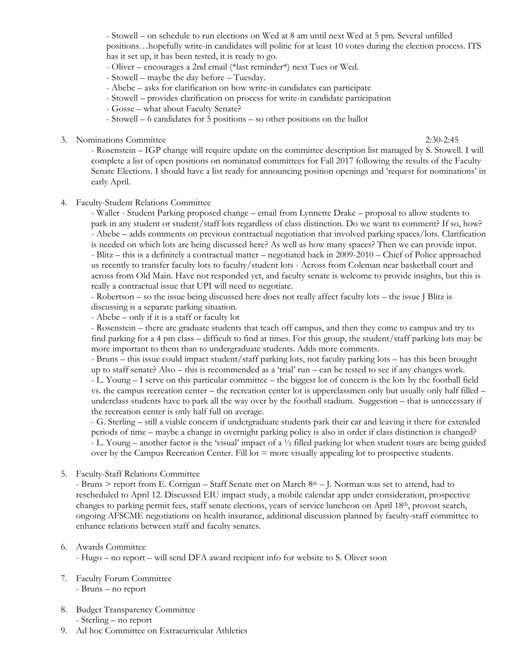- Stowell – on schedule to run elections on Wed at 8 am until next Wed at 5 pm. Several unfilled positions…hopefully write-in candidates will politic for at least 10 votes during the election process. ITS has it set up, it has been tested, it is ready to go.

- Oliver – encourages a 2nd email (\*last reminder\*) next Tues or Wed.

- Stowell – maybe the day before – Tuesday.

- Abebe asks for clarification on how write-in candidates can participate
- Stowell provides clarification on process for write-in candidate participation
- Gosse what about Faculty Senate?
- Stowell 6 candidates for 5 positions so other positions on the ballot
- 3. Nominations Committee 2:30-2:45

- Rosenstein – IGP change will require update on the committee description list managed by S. Stowell. I will complete a list of open positions on nominated committees for Fall 2017 following the results of the Faculty Senate Elections. I should have a list ready for announcing position openings and 'request for nominations' in early April.

4. Faculty-Student Relations Committee

- Waller - Student Parking proposed change – email from Lynnette Drake – proposal to allow students to park in any student or student/staff lots regardless of class distinction. Do we want to comment? If so, how? - Abebe – adds comments on previous contractual negotiation that involved parking spaces/lots. Clarification is needed on which lots are being discussed here? As well as how many spaces? Then we can provide input. - Blitz – this is a definitely a contractual matter – negotiated back in 2009-2010 – Chief of Police approached us recently to transfer faculty lots to faculty/student lots - Across from Coleman near basketball court and across from Old Main. Have not responded yet, and faculty senate is welcome to provide insights, but this is really a contractual issue that UPI will need to negotiate.

- Robertson – so the issue being discussed here does not really affect faculty lots – the issue J Blitz is discussing is a separate parking situation.

- Abebe – only if it is a staff or faculty lot

- Rosenstein – there are graduate students that teach off campus, and then they come to campus and try to find parking for a 4 pm class – difficult to find at times. For this group, the student/staff parking lots may be more important to them than to undergraduate students. Adds more comments.

- Bruns – this issue could impact student/staff parking lots, not faculty parking lots – has this been brought up to staff senate? Also – this is recommended as a 'trial' run – can be tested to see if any changes work.

- L. Young – I serve on this particular committee – the biggest lot of concern is the lots by the football field vs. the campus recreation center – the recreation center lot is upperclassmen only but usually only half filled – underclass students have to park all the way over by the football stadium. Suggestion – that is unnecessary if the recreation center is only half full on average.

- G. Sterling – still a viable concern if undergraduate students park their car and leaving it there for extended periods of time – maybe a change in overnight parking policy is also in order if class distinction is changed? - L. Young – another factor is the 'visual' impact of a ½ filled parking lot when student tours are being guided over by the Campus Recreation Center. Fill lot = more visually appealing lot to prospective students.

5. Faculty-Staff Relations Committee

- Bruns > report from E. Corrigan – Staff Senate met on March 8th – J. Norman was set to attend, had to rescheduled to April 12. Discussed EIU impact study, a mobile calendar app under consideration, prospective changes to parking permit fees, staff senate elections, years of service luncheon on April 18th, provost search, ongoing AFSCME negotiations on health insurance, additional discussion planned by faculty-staff committee to enhance relations between staff and faculty senates.

#### 6. Awards Committee

- Hugo – no report – will send DFA award recipient info for website to S. Oliver soon

- 7. Faculty Forum Committee - Bruns – no report
- 8. Budget Transparency Committee - Sterling – no report
- 9. Ad hoc Committee on Extracurricular Athletics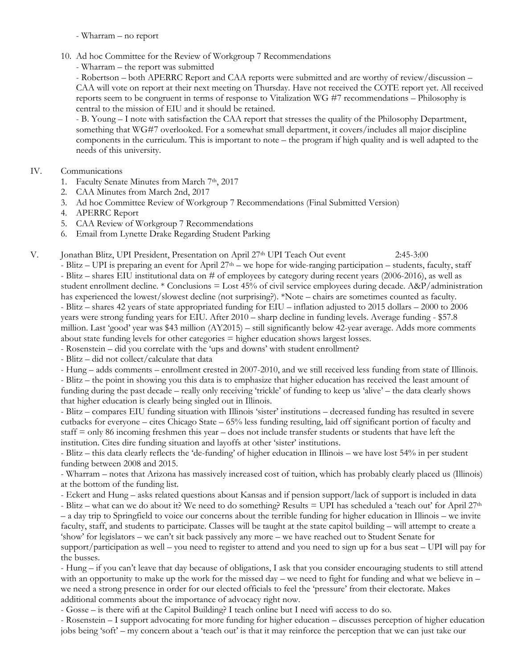- Wharram – no report

- 10. Ad hoc Committee for the Review of Workgroup 7 Recommendations
	- Wharram the report was submitted

- Robertson – both APERRC Report and CAA reports were submitted and are worthy of review/discussion – CAA will vote on report at their next meeting on Thursday. Have not received the COTE report yet. All received reports seem to be congruent in terms of response to Vitalization WG #7 recommendations – Philosophy is central to the mission of EIU and it should be retained.

- B. Young – I note with satisfaction the CAA report that stresses the quality of the Philosophy Department, something that WG#7 overlooked. For a somewhat small department, it covers/includes all major discipline components in the curriculum. This is important to note – the program if high quality and is well adapted to the needs of this university.

## IV. Communications

- 1. Faculty Senate Minutes from March 7th, 2017
- 2. CAA Minutes from March 2nd, 2017
- 3. Ad hoc Committee Review of Workgroup 7 Recommendations (Final Submitted Version)
- 4. APERRC Report
- 5. CAA Review of Workgroup 7 Recommendations
- 6. Email from Lynette Drake Regarding Student Parking
- V. Jonathan Blitz, UPI President, Presentation on April 27<sup>th</sup> UPI Teach Out event 2:45-3:00

 $-$  Blitz – UPI is preparing an event for April 27<sup>th</sup> – we hope for wide-ranging participation – students, faculty, staff - Blitz – shares EIU institutional data on # of employees by category during recent years (2006-2016), as well as student enrollment decline. \* Conclusions = Lost 45% of civil service employees during decade. A&P/administration has experienced the lowest/slowest decline (not surprising?). \*Note – chairs are sometimes counted as faculty. - Blitz – shares 42 years of state appropriated funding for EIU – inflation adjusted to 2015 dollars – 2000 to 2006 years were strong funding years for EIU. After 2010 – sharp decline in funding levels. Average funding - \$57.8 million. Last 'good' year was \$43 million (AY2015) – still significantly below 42-year average. Adds more comments about state funding levels for other categories = higher education shows largest losses.

- Rosenstein did you correlate with the 'ups and downs' with student enrollment?
- Blitz did not collect/calculate that data

- Hung – adds comments – enrollment crested in 2007-2010, and we still received less funding from state of Illinois.

- Blitz – the point in showing you this data is to emphasize that higher education has received the least amount of funding during the past decade – really only receiving 'trickle' of funding to keep us 'alive' – the data clearly shows that higher education is clearly being singled out in Illinois.

- Blitz – compares EIU funding situation with Illinois 'sister' institutions – decreased funding has resulted in severe cutbacks for everyone – cites Chicago State – 65% less funding resulting, laid off significant portion of faculty and staff = only 86 incoming freshmen this year – does not include transfer students or students that have left the institution. Cites dire funding situation and layoffs at other 'sister' institutions.

- Blitz – this data clearly reflects the 'de-funding' of higher education in Illinois – we have lost 54% in per student funding between 2008 and 2015.

- Wharram – notes that Arizona has massively increased cost of tuition, which has probably clearly placed us (Illinois) at the bottom of the funding list.

- Eckert and Hung – asks related questions about Kansas and if pension support/lack of support is included in data

- Blitz – what can we do about it? We need to do something? Results = UPI has scheduled a 'teach out' for April  $27<sup>th</sup>$ – a day trip to Springfield to voice our concerns about the terrible funding for higher education in Illinois – we invite faculty, staff, and students to participate. Classes will be taught at the state capitol building – will attempt to create a 'show' for legislators – we can't sit back passively any more – we have reached out to Student Senate for

support/participation as well – you need to register to attend and you need to sign up for a bus seat – UPI will pay for the busses.

- Hung – if you can't leave that day because of obligations, I ask that you consider encouraging students to still attend with an opportunity to make up the work for the missed day – we need to fight for funding and what we believe in – we need a strong presence in order for our elected officials to feel the 'pressure' from their electorate. Makes additional comments about the importance of advocacy right now.

- Gosse – is there wifi at the Capitol Building? I teach online but I need wifi access to do so.

- Rosenstein – I support advocating for more funding for higher education – discusses perception of higher education jobs being 'soft' – my concern about a 'teach out' is that it may reinforce the perception that we can just take our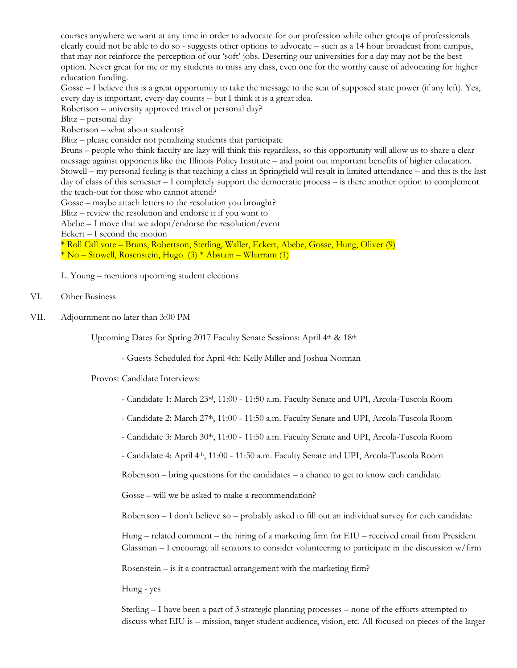courses anywhere we want at any time in order to advocate for our profession while other groups of professionals clearly could not be able to do so - suggests other options to advocate – such as a 14 hour broadcast from campus, that may not reinforce the perception of our 'soft' jobs. Deserting our universities for a day may not be the best option. Never great for me or my students to miss any class, even one for the worthy cause of advocating for higher education funding.

Gosse – I believe this is a great opportunity to take the message to the seat of supposed state power (if any left). Yes, every day is important, every day counts – but I think it is a great idea.

Robertson – university approved travel or personal day?

Blitz – personal day

Robertson – what about students?

Blitz – please consider not penalizing students that participate

Bruns – people who think faculty are lazy will think this regardless, so this opportunity will allow us to share a clear message against opponents like the Illinois Policy Institute – and point out important benefits of higher education. Stowell – my personal feeling is that teaching a class in Springfield will result in limited attendance – and this is the last day of class of this semester – I completely support the democratic process – is there another option to complement the teach-out for those who cannot attend?

Gosse – maybe attach letters to the resolution you brought?

Blitz – review the resolution and endorse it if you want to

Abebe – I move that we adopt/endorse the resolution/event

Eckert – I second the motion

\* Roll Call vote – Bruns, Robertson, Sterling, Waller, Eckert, Abebe, Gosse, Hung, Oliver (9)  $*$  No – Stowell, Rosenstein, Hugo  $(3) *$  Abstain – Wharram  $(1)$ 

L. Young – mentions upcoming student elections

#### VI. Other Business

VII. Adjournment no later than 3:00 PM

Upcoming Dates for Spring 2017 Faculty Senate Sessions: April 4th & 18th

- Guests Scheduled for April 4th: Kelly Miller and Joshua Norman

Provost Candidate Interviews:

- Candidate 1: March 23rd, 11:00 - 11:50 a.m. Faculty Senate and UPI, Arcola-Tuscola Room

- Candidate 2: March 27<sup>th</sup>, 11:00 - 11:50 a.m. Faculty Senate and UPI, Arcola-Tuscola Room

- Candidate 3: March 30<sup>th</sup>, 11:00 - 11:50 a.m. Faculty Senate and UPI, Arcola-Tuscola Room

- Candidate 4: April 4th, 11:00 - 11:50 a.m. Faculty Senate and UPI, Arcola-Tuscola Room

Robertson  $-$  bring questions for the candidates  $-$  a chance to get to know each candidate

Gosse – will we be asked to make a recommendation?

Robertson – I don't believe so – probably asked to fill out an individual survey for each candidate

Hung – related comment – the hiring of a marketing firm for EIU – received email from President Glassman – I encourage all senators to consider volunteering to participate in the discussion w/firm

Rosenstein – is it a contractual arrangement with the marketing firm?

Hung - yes

Sterling – I have been a part of 3 strategic planning processes – none of the efforts attempted to discuss what EIU is – mission, target student audience, vision, etc. All focused on pieces of the larger